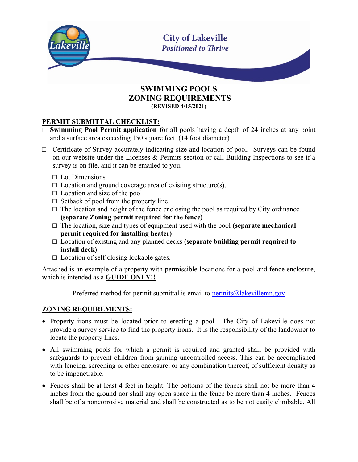

#### SWIMMING POOLS ZONING REQUIREMENTS (REVISED 4/15/2021)

### PERMIT SUBMITTAL CHECKLIST:

- □ **Swimming Pool Permit application** for all pools having a depth of 24 inches at any point and a surface area exceeding 150 square feet. (14 foot diameter)
- □ Certificate of Survey accurately indicating size and location of pool. Surveys can be found on our website under the Licenses & Permits section or call Building Inspections to see if a survey is on file, and it can be emailed to you.
	- $\Box$  Lot Dimensions.
	- $\Box$  Location and ground coverage area of existing structure(s).
	- $\Box$  Location and size of the pool.
	- $\Box$  Setback of pool from the property line.
	- $\square$  The location and height of the fence enclosing the pool as required by City ordinance. (separate Zoning permit required for the fence)
	- $\Box$  The location, size and types of equipment used with the pool (separate mechanical permit required for installing heater)
	- $\Box$  Location of existing and any planned decks (separate building permit required to install deck)
	- $\Box$  Location of self-closing lockable gates.

Attached is an example of a property with permissible locations for a pool and fence enclosure, which is intended as a GUIDE ONLY!!

Preferred method for permit submittal is email to  $\frac{permits@label{ex3} (a)}{permits@label{ex3} (a)}$ 

#### ZONING REQUIREMENTS:

- Property irons must be located prior to erecting a pool. The City of Lakeville does not provide a survey service to find the property irons. It is the responsibility of the landowner to locate the property lines.
- All swimming pools for which a permit is required and granted shall be provided with safeguards to prevent children from gaining uncontrolled access. This can be accomplished with fencing, screening or other enclosure, or any combination thereof, of sufficient density as to be impenetrable.
- Fences shall be at least 4 feet in height. The bottoms of the fences shall not be more than 4 inches from the ground nor shall any open space in the fence be more than 4 inches. Fences shall be of a noncorrosive material and shall be constructed as to be not easily climbable. All